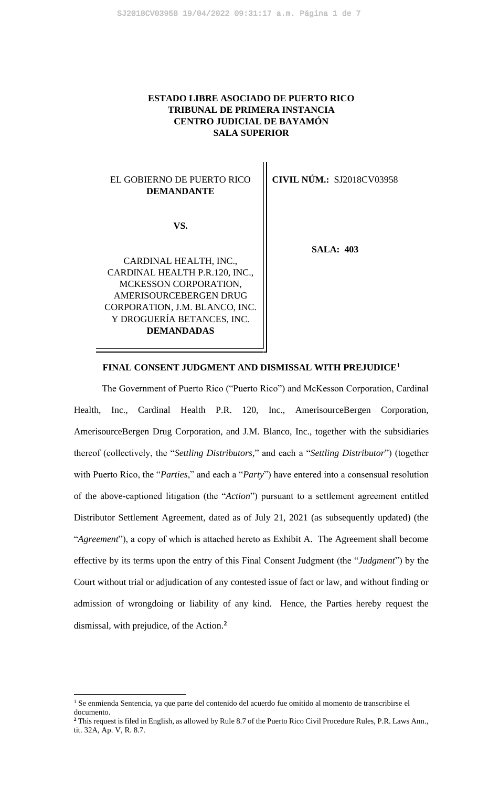## **ESTADO LIBRE ASOCIADO DE PUERTO RICO TRIBUNAL DE PRIMERA INSTANCIA CENTRO JUDICIAL DE BAYAMÓN SALA SUPERIOR**

## EL GOBIERNO DE PUERTO RICO **DEMANDANTE**

**VS.**

CARDINAL HEALTH, INC., CARDINAL HEALTH P.R.120, INC., MCKESSON CORPORATION, AMERISOURCEBERGEN DRUG CORPORATION, J.M. BLANCO, INC. Y DROGUERÍA BETANCES, INC. **DEMANDADAS**

**CIVIL NÚM.:** SJ2018CV03958

**SALA: 403**

### **FINAL CONSENT JUDGMENT AND DISMISSAL WITH PREJUDICE<sup>1</sup>**

The Government of Puerto Rico ("Puerto Rico") and McKesson Corporation, Cardinal Health, Inc., Cardinal Health P.R. 120, Inc., AmerisourceBergen Corporation, AmerisourceBergen Drug Corporation, and J.M. Blanco, Inc., together with the subsidiaries thereof (collectively, the "*Settling Distributors*," and each a "*Settling Distributor*") (together with Puerto Rico, the "*Parties*," and each a "*Party*") have entered into a consensual resolution of the above-captioned litigation (the "*Action*") pursuant to a settlement agreement entitled Distributor Settlement Agreement, dated as of July 21, 2021 (as subsequently updated) (the "*Agreement*"), a copy of which is attached hereto as Exhibit A. The Agreement shall become effective by its terms upon the entry of this Final Consent Judgment (the "*Judgment*") by the Court without trial or adjudication of any contested issue of fact or law, and without finding or admission of wrongdoing or liability of any kind. Hence, the Parties hereby request the dismissal, with prejudice, of the Action.**<sup>2</sup>**

<sup>&</sup>lt;sup>1</sup> Se enmienda Sentencia, ya que parte del contenido del acuerdo fue omitido al momento de transcribirse el documento.

**<sup>2</sup>** This request is filed in English, as allowed by Rule 8.7 of the Puerto Rico Civil Procedure Rules, P.R. Laws Ann., tit. 32A, Ap. V, R. 8.7.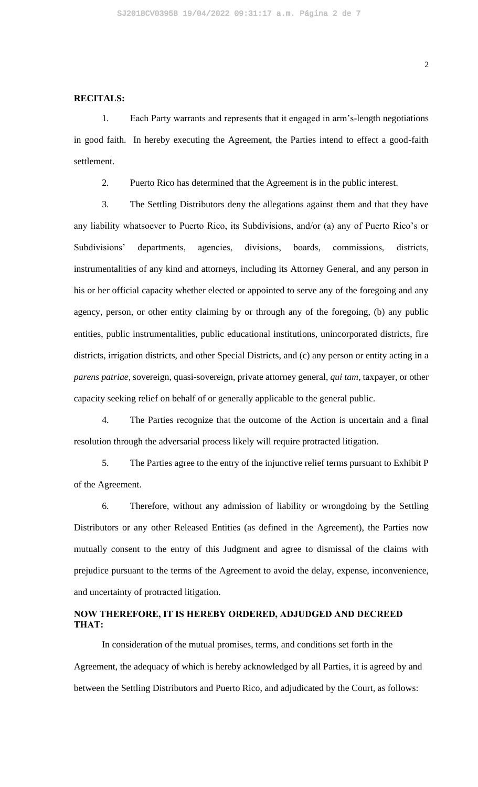#### **RECITALS:**

1. Each Party warrants and represents that it engaged in arm's-length negotiations in good faith. In hereby executing the Agreement, the Parties intend to effect a good-faith settlement.

2. Puerto Rico has determined that the Agreement is in the public interest.

3. The Settling Distributors deny the allegations against them and that they have any liability whatsoever to Puerto Rico, its Subdivisions, and/or (a) any of Puerto Rico's or Subdivisions' departments, agencies, divisions, boards, commissions, districts, instrumentalities of any kind and attorneys, including its Attorney General, and any person in his or her official capacity whether elected or appointed to serve any of the foregoing and any agency, person, or other entity claiming by or through any of the foregoing, (b) any public entities, public instrumentalities, public educational institutions, unincorporated districts, fire districts, irrigation districts, and other Special Districts, and (c) any person or entity acting in a *parens patriae*, sovereign, quasi-sovereign, private attorney general, *qui tam*, taxpayer, or other capacity seeking relief on behalf of or generally applicable to the general public.

4. The Parties recognize that the outcome of the Action is uncertain and a final resolution through the adversarial process likely will require protracted litigation.

5. The Parties agree to the entry of the injunctive relief terms pursuant to Exhibit P of the Agreement.

6. Therefore, without any admission of liability or wrongdoing by the Settling Distributors or any other Released Entities (as defined in the Agreement), the Parties now mutually consent to the entry of this Judgment and agree to dismissal of the claims with prejudice pursuant to the terms of the Agreement to avoid the delay, expense, inconvenience, and uncertainty of protracted litigation.

## **NOW THEREFORE, IT IS HEREBY ORDERED, ADJUDGED AND DECREED THAT:**

In consideration of the mutual promises, terms, and conditions set forth in the Agreement, the adequacy of which is hereby acknowledged by all Parties, it is agreed by and between the Settling Distributors and Puerto Rico, and adjudicated by the Court, as follows: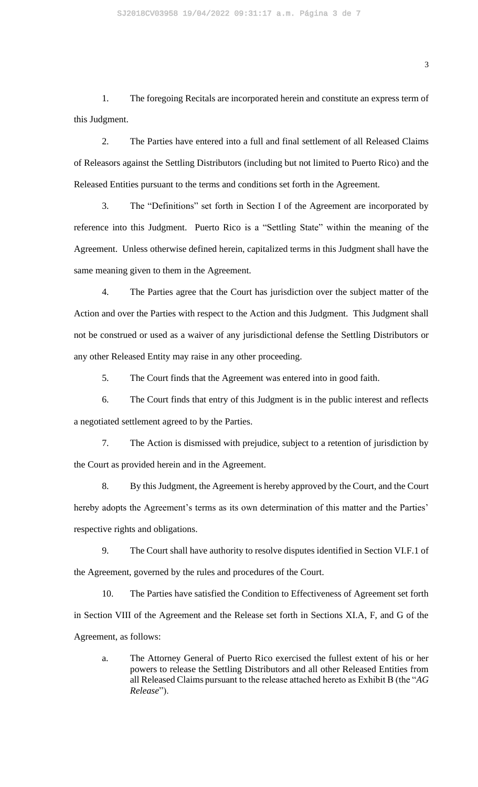1. The foregoing Recitals are incorporated herein and constitute an express term of this Judgment.

2. The Parties have entered into a full and final settlement of all Released Claims of Releasors against the Settling Distributors (including but not limited to Puerto Rico) and the Released Entities pursuant to the terms and conditions set forth in the Agreement.

3. The "Definitions" set forth in Section I of the Agreement are incorporated by reference into this Judgment. Puerto Rico is a "Settling State" within the meaning of the Agreement. Unless otherwise defined herein, capitalized terms in this Judgment shall have the same meaning given to them in the Agreement.

4. The Parties agree that the Court has jurisdiction over the subject matter of the Action and over the Parties with respect to the Action and this Judgment. This Judgment shall not be construed or used as a waiver of any jurisdictional defense the Settling Distributors or any other Released Entity may raise in any other proceeding.

5. The Court finds that the Agreement was entered into in good faith.

6. The Court finds that entry of this Judgment is in the public interest and reflects a negotiated settlement agreed to by the Parties.

7. The Action is dismissed with prejudice, subject to a retention of jurisdiction by the Court as provided herein and in the Agreement.

8. By this Judgment, the Agreement is hereby approved by the Court, and the Court hereby adopts the Agreement's terms as its own determination of this matter and the Parties' respective rights and obligations.

9. The Court shall have authority to resolve disputes identified in Section VI.F.1 of the Agreement, governed by the rules and procedures of the Court.

10. The Parties have satisfied the Condition to Effectiveness of Agreement set forth in Section VIII of the Agreement and the Release set forth in Sections XI.A, F, and G of the Agreement, as follows:

a. The Attorney General of Puerto Rico exercised the fullest extent of his or her powers to release the Settling Distributors and all other Released Entities from all Released Claims pursuant to the release attached hereto as Exhibit B (the "*AG Release*").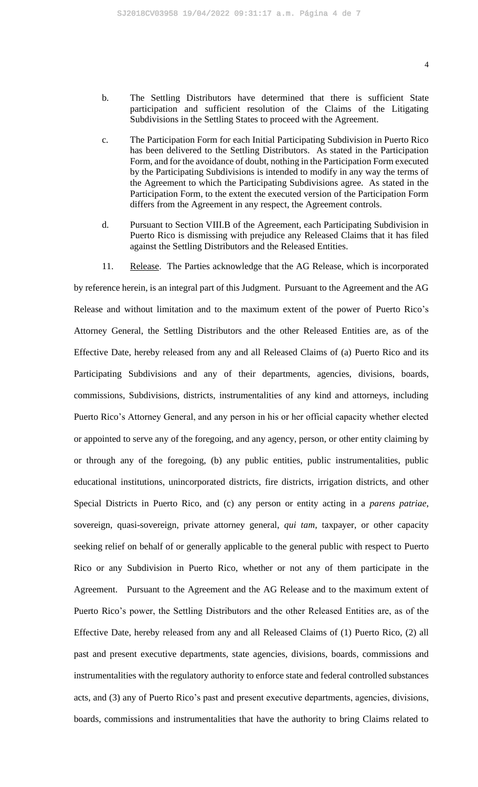- b. The Settling Distributors have determined that there is sufficient State participation and sufficient resolution of the Claims of the Litigating Subdivisions in the Settling States to proceed with the Agreement.
- c. The Participation Form for each Initial Participating Subdivision in Puerto Rico has been delivered to the Settling Distributors. As stated in the Participation Form, and for the avoidance of doubt, nothing in the Participation Form executed by the Participating Subdivisions is intended to modify in any way the terms of the Agreement to which the Participating Subdivisions agree. As stated in the Participation Form, to the extent the executed version of the Participation Form differs from the Agreement in any respect, the Agreement controls.
- d. Pursuant to Section VIII.B of the Agreement, each Participating Subdivision in Puerto Rico is dismissing with prejudice any Released Claims that it has filed against the Settling Distributors and the Released Entities.
- 11. Release. The Parties acknowledge that the AG Release, which is incorporated

by reference herein, is an integral part of this Judgment. Pursuant to the Agreement and the AG Release and without limitation and to the maximum extent of the power of Puerto Rico's Attorney General, the Settling Distributors and the other Released Entities are, as of the Effective Date, hereby released from any and all Released Claims of (a) Puerto Rico and its Participating Subdivisions and any of their departments, agencies, divisions, boards, commissions, Subdivisions, districts, instrumentalities of any kind and attorneys, including Puerto Rico's Attorney General, and any person in his or her official capacity whether elected or appointed to serve any of the foregoing, and any agency, person, or other entity claiming by or through any of the foregoing, (b) any public entities, public instrumentalities, public educational institutions, unincorporated districts, fire districts, irrigation districts, and other Special Districts in Puerto Rico, and (c) any person or entity acting in a *parens patriae*, sovereign, quasi-sovereign, private attorney general, *qui tam*, taxpayer, or other capacity seeking relief on behalf of or generally applicable to the general public with respect to Puerto Rico or any Subdivision in Puerto Rico, whether or not any of them participate in the Agreement. Pursuant to the Agreement and the AG Release and to the maximum extent of Puerto Rico's power, the Settling Distributors and the other Released Entities are, as of the Effective Date, hereby released from any and all Released Claims of (1) Puerto Rico, (2) all past and present executive departments, state agencies, divisions, boards, commissions and instrumentalities with the regulatory authority to enforce state and federal controlled substances acts, and (3) any of Puerto Rico's past and present executive departments, agencies, divisions, boards, commissions and instrumentalities that have the authority to bring Claims related to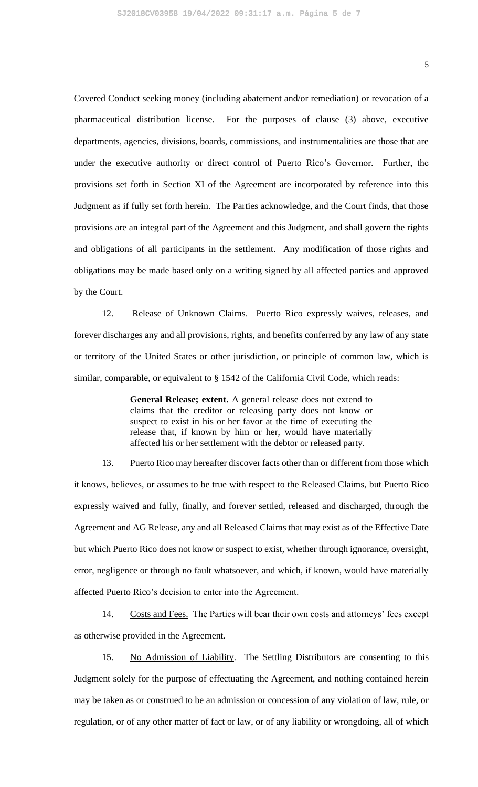Covered Conduct seeking money (including abatement and/or remediation) or revocation of a pharmaceutical distribution license. For the purposes of clause (3) above, executive departments, agencies, divisions, boards, commissions, and instrumentalities are those that are under the executive authority or direct control of Puerto Rico's Governor. Further, the provisions set forth in Section XI of the Agreement are incorporated by reference into this Judgment as if fully set forth herein. The Parties acknowledge, and the Court finds, that those provisions are an integral part of the Agreement and this Judgment, and shall govern the rights and obligations of all participants in the settlement. Any modification of those rights and obligations may be made based only on a writing signed by all affected parties and approved by the Court.

12. Release of Unknown Claims. Puerto Rico expressly waives, releases, and forever discharges any and all provisions, rights, and benefits conferred by any law of any state or territory of the United States or other jurisdiction, or principle of common law, which is similar, comparable, or equivalent to § 1542 of the California Civil Code, which reads:

> **General Release; extent.** A general release does not extend to claims that the creditor or releasing party does not know or suspect to exist in his or her favor at the time of executing the release that, if known by him or her, would have materially affected his or her settlement with the debtor or released party.

13. Puerto Rico may hereafter discover facts other than or different from those which it knows, believes, or assumes to be true with respect to the Released Claims, but Puerto Rico expressly waived and fully, finally, and forever settled, released and discharged, through the Agreement and AG Release, any and all Released Claims that may exist as of the Effective Date but which Puerto Rico does not know or suspect to exist, whether through ignorance, oversight, error, negligence or through no fault whatsoever, and which, if known, would have materially affected Puerto Rico's decision to enter into the Agreement.

14. Costs and Fees. The Parties will bear their own costs and attorneys' fees except as otherwise provided in the Agreement.

15. No Admission of Liability. The Settling Distributors are consenting to this Judgment solely for the purpose of effectuating the Agreement, and nothing contained herein may be taken as or construed to be an admission or concession of any violation of law, rule, or regulation, or of any other matter of fact or law, or of any liability or wrongdoing, all of which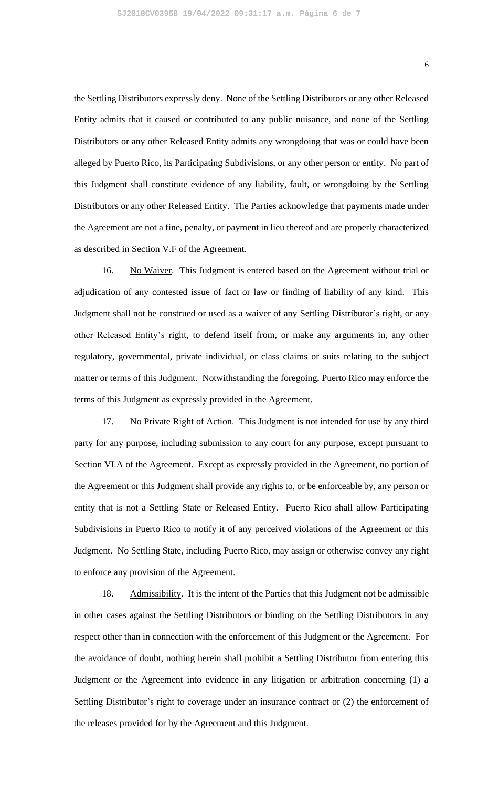the Settling Distributors expressly deny. None of the Settling Distributors or any other Released Entity admits that it caused or contributed to any public nuisance, and none of the Settling Distributors or any other Released Entity admits any wrongdoing that was or could have been alleged by Puerto Rico, its Participating Subdivisions, or any other person or entity. No part of this Judgment shall constitute evidence of any liability, fault, or wrongdoing by the Settling Distributors or any other Released Entity. The Parties acknowledge that payments made under the Agreement are not a fine, penalty, or payment in lieu thereof and are properly characterized as described in Section V.F of the Agreement.

16. No Waiver. This Judgment is entered based on the Agreement without trial or adjudication of any contested issue of fact or law or finding of liability of any kind. This Judgment shall not be construed or used as a waiver of any Settling Distributor's right, or any other Released Entity's right, to defend itself from, or make any arguments in, any other regulatory, governmental, private individual, or class claims or suits relating to the subject matter or terms of this Judgment. Notwithstanding the foregoing, Puerto Rico may enforce the terms of this Judgment as expressly provided in the Agreement.

17. No Private Right of Action. This Judgment is not intended for use by any third party for any purpose, including submission to any court for any purpose, except pursuant to Section VI.A of the Agreement. Except as expressly provided in the Agreement, no portion of the Agreement or this Judgment shall provide any rights to, or be enforceable by, any person or entity that is not a Settling State or Released Entity. Puerto Rico shall allow Participating Subdivisions in Puerto Rico to notify it of any perceived violations of the Agreement or this Judgment. No Settling State, including Puerto Rico, may assign or otherwise convey any right to enforce any provision of the Agreement.

18. Admissibility. It is the intent of the Parties that this Judgment not be admissible in other cases against the Settling Distributors or binding on the Settling Distributors in any respect other than in connection with the enforcement of this Judgment or the Agreement. For the avoidance of doubt, nothing herein shall prohibit a Settling Distributor from entering this Judgment or the Agreement into evidence in any litigation or arbitration concerning (1) a Settling Distributor's right to coverage under an insurance contract or (2) the enforcement of the releases provided for by the Agreement and this Judgment.

6